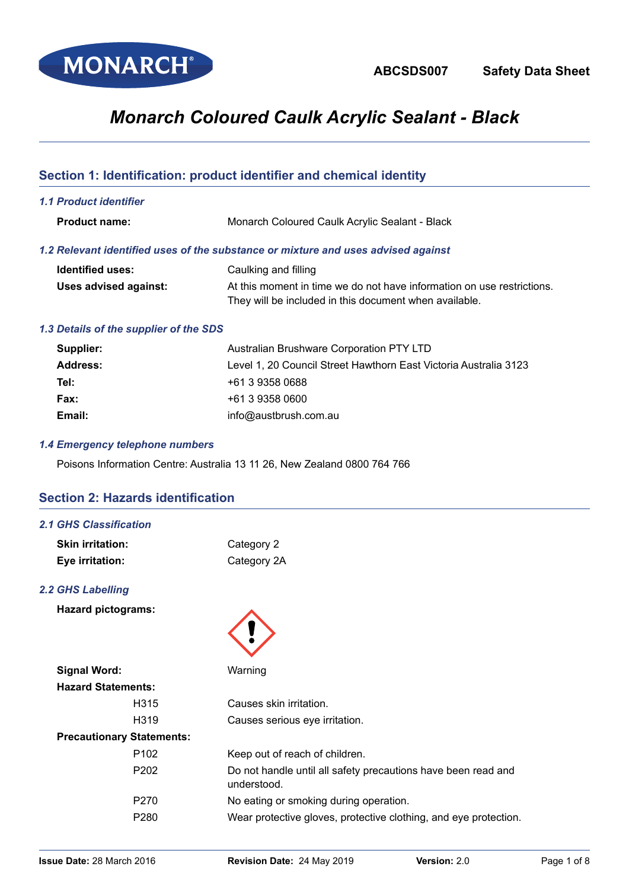

# *Monarch Coloured Caulk Acrylic Sealant - Black*

# **Section 1: Identification: product identifier and chemical identity**

*1.1 Product identifier*

| <b>Product name:</b> | Monarch Coloured Caulk Acrylic Sealant - Black |
|----------------------|------------------------------------------------|
|----------------------|------------------------------------------------|

# *1.2 Relevant identified uses of the substance or mixture and uses advised against*

| <b>Identified uses:</b> | Caulking and filling                                                   |
|-------------------------|------------------------------------------------------------------------|
| Uses advised against:   | At this moment in time we do not have information on use restrictions. |
|                         | They will be included in this document when available.                 |

## *1.3 Details of the supplier of the SDS*

| Supplier: | Australian Brushware Corporation PTY LTD                         |
|-----------|------------------------------------------------------------------|
| Address:  | Level 1, 20 Council Street Hawthorn East Victoria Australia 3123 |
| Tel:      | +61 3 9358 0688                                                  |
| Fax:      | +61 3 9358 0600                                                  |
| Email:    | info@austbrush.com.au                                            |

## *1.4 Emergency telephone numbers*

Poisons Information Centre: Australia 13 11 26, New Zealand 0800 764 766

# **Section 2: Hazards identification**

#### *2.1 GHS Classification*

| <b>Skin irritation:</b> | Category 2  |
|-------------------------|-------------|
| Eye irritation:         | Category 2A |

## *2.2 GHS Labelling*

**Hazard pictograms:**

| <b>Signal Word:</b>              | Warning                                                                      |
|----------------------------------|------------------------------------------------------------------------------|
| <b>Hazard Statements:</b>        |                                                                              |
| H <sub>3</sub> 15                | Causes skin irritation.                                                      |
| H <sub>3</sub> 19                | Causes serious eye irritation.                                               |
| <b>Precautionary Statements:</b> |                                                                              |
| P <sub>102</sub>                 | Keep out of reach of children.                                               |
| P <sub>202</sub>                 | Do not handle until all safety precautions have been read and<br>understood. |
| P <sub>270</sub>                 | No eating or smoking during operation.                                       |
| P <sub>280</sub>                 | Wear protective gloves, protective clothing, and eye protection.             |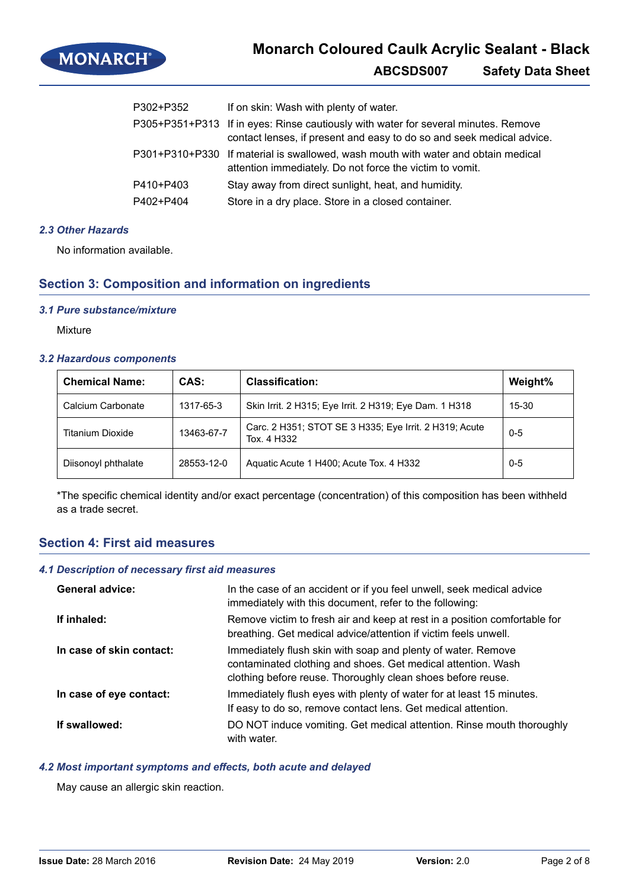

| P302+P352 | If on skin: Wash with plenty of water.                                                                                                                      |
|-----------|-------------------------------------------------------------------------------------------------------------------------------------------------------------|
|           | P305+P351+P313 If in eyes: Rinse cautiously with water for several minutes. Remove<br>contact lenses, if present and easy to do so and seek medical advice. |
|           | P301+P310+P330 If material is swallowed, wash mouth with water and obtain medical<br>attention immediately. Do not force the victim to vomit.               |
| P410+P403 | Stay away from direct sunlight, heat, and humidity.                                                                                                         |
| P402+P404 | Store in a dry place. Store in a closed container.                                                                                                          |

# *2.3 Other Hazards*

No information available.

# **Section 3: Composition and information on ingredients**

#### *3.1 Pure substance/mixture*

**Mixture** 

#### *3.2 Hazardous components*

| <b>Chemical Name:</b> | CAS:       | <b>Classification:</b>                                                | Weight%   |
|-----------------------|------------|-----------------------------------------------------------------------|-----------|
| Calcium Carbonate     | 1317-65-3  | Skin Irrit. 2 H315; Eye Irrit. 2 H319; Eye Dam. 1 H318                | $15 - 30$ |
| Titanium Dioxide      | 13463-67-7 | Carc. 2 H351; STOT SE 3 H335; Eye Irrit. 2 H319; Acute<br>Tox. 4 H332 | $0 - 5$   |
| Diisonoyl phthalate   | 28553-12-0 | Aquatic Acute 1 H400; Acute Tox. 4 H332                               | $0 - 5$   |

\*The specific chemical identity and/or exact percentage (concentration) of this composition has been withheld as a trade secret.

# **Section 4: First aid measures**

### *4.1 Description of necessary first aid measures*

| <b>General advice:</b>   | In the case of an accident or if you feel unwell, seek medical advice<br>immediately with this document, refer to the following:                                                            |
|--------------------------|---------------------------------------------------------------------------------------------------------------------------------------------------------------------------------------------|
| If inhaled:              | Remove victim to fresh air and keep at rest in a position comfortable for<br>breathing. Get medical advice/attention if victim feels unwell.                                                |
| In case of skin contact: | Immediately flush skin with soap and plenty of water. Remove<br>contaminated clothing and shoes. Get medical attention. Wash<br>clothing before reuse. Thoroughly clean shoes before reuse. |
| In case of eye contact:  | Immediately flush eyes with plenty of water for at least 15 minutes.<br>If easy to do so, remove contact lens. Get medical attention.                                                       |
| If swallowed:            | DO NOT induce vomiting. Get medical attention. Rinse mouth thoroughly<br>with water.                                                                                                        |

# *4.2 Most important symptoms and effects, both acute and delayed*

May cause an allergic skin reaction.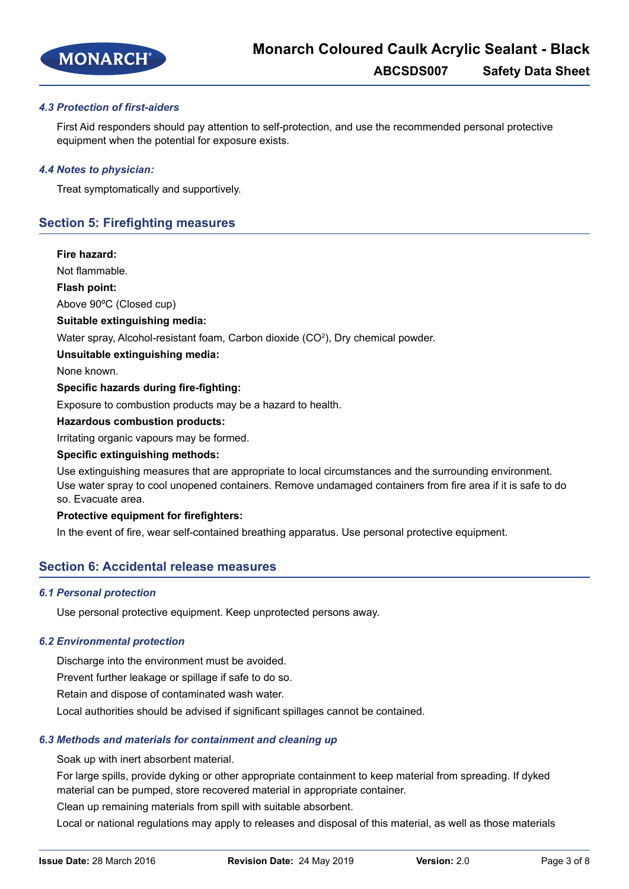

## *4.3 Protection of first-aiders*

First Aid responders should pay attention to self-protection, and use the recommended personal protective equipment when the potential for exposure exists.

#### *4.4 Notes to physician:*

Treat symptomatically and supportively.

# **Section 5: Firefighting measures**

#### **Fire hazard:**

Not flammable.

#### **Flash point:**

Above 90ºC (Closed cup)

#### **Suitable extinguishing media:**

Water spray, Alcohol-resistant foam, Carbon dioxide (CO<sup>2</sup>), Dry chemical powder.

#### **Unsuitable extinguishing media:**

None known.

#### **Specific hazards during fire-fighting:**

Exposure to combustion products may be a hazard to health.

#### **Hazardous combustion products:**

Irritating organic vapours may be formed.

#### **Specific extinguishing methods:**

Use extinguishing measures that are appropriate to local circumstances and the surrounding environment. Use water spray to cool unopened containers. Remove undamaged containers from fire area if it is safe to do so. Evacuate area.

#### **Protective equipment for firefighters:**

In the event of fire, wear self-contained breathing apparatus. Use personal protective equipment.

## **Section 6: Accidental release measures**

#### *6.1 Personal protection*

Use personal protective equipment. Keep unprotected persons away.

#### *6.2 Environmental protection*

Discharge into the environment must be avoided.

Prevent further leakage or spillage if safe to do so.

Retain and dispose of contaminated wash water.

Local authorities should be advised if significant spillages cannot be contained.

#### *6.3 Methods and materials for containment and cleaning up*

Soak up with inert absorbent material.

For large spills, provide dyking or other appropriate containment to keep material from spreading. If dyked material can be pumped, store recovered material in appropriate container.

Clean up remaining materials from spill with suitable absorbent.

Local or national regulations may apply to releases and disposal of this material, as well as those materials

**Issue Date:** 28 March 2016 **Revision Date:** 24 May 2019 **Version:** 2.0 Page 3 of 8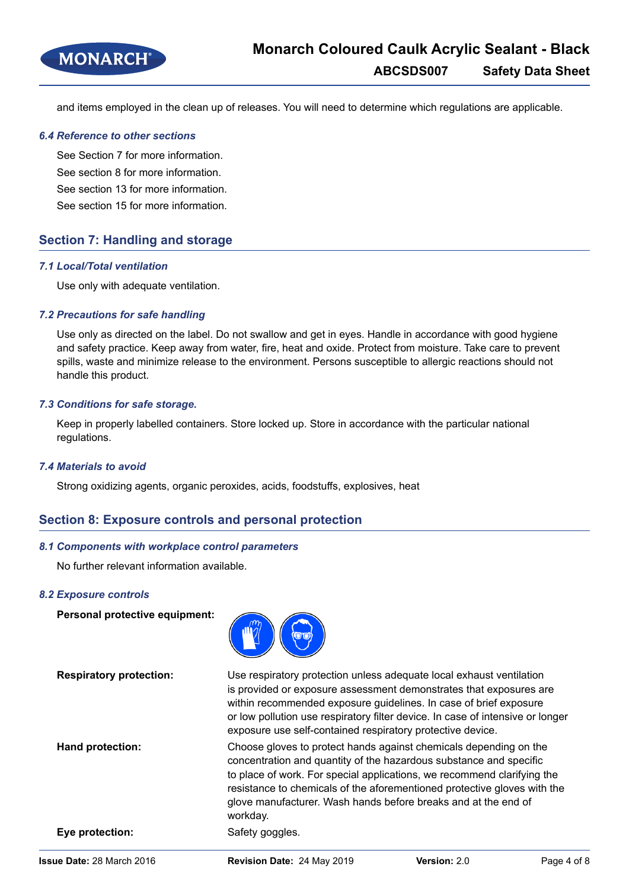

and items employed in the clean up of releases. You will need to determine which regulations are applicable.

#### *6.4 Reference to other sections*

See Section 7 for more information. See section 8 for more information.

See section 13 for more information.

See section 15 for more information.

# **Section 7: Handling and storage**

#### *7.1 Local/Total ventilation*

Use only with adequate ventilation.

## *7.2 Precautions for safe handling*

Use only as directed on the label. Do not swallow and get in eyes. Handle in accordance with good hygiene and safety practice. Keep away from water, fire, heat and oxide. Protect from moisture. Take care to prevent spills, waste and minimize release to the environment. Persons susceptible to allergic reactions should not handle this product.

#### *7.3 Conditions for safe storage.*

Keep in properly labelled containers. Store locked up. Store in accordance with the particular national regulations.

#### *7.4 Materials to avoid*

Strong oxidizing agents, organic peroxides, acids, foodstuffs, explosives, heat

# **Section 8: Exposure controls and personal protection**

## *8.1 Components with workplace control parameters*

No further relevant information available.

#### *8.2 Exposure controls*

**Personal protective equipment:**



**Respiratory protection:** Use respiratory protection unless adequate local exhaust ventilation is provided or exposure assessment demonstrates that exposures are within recommended exposure guidelines. In case of brief exposure or low pollution use respiratory filter device. In case of intensive or longer exposure use self-contained respiratory protective device. **Hand protection:** Choose gloves to protect hands against chemicals depending on the concentration and quantity of the hazardous substance and specific to place of work. For special applications, we recommend clarifying the resistance to chemicals of the aforementioned protective gloves with the glove manufacturer. Wash hands before breaks and at the end of workday. **Eye protection:** Safety goggles.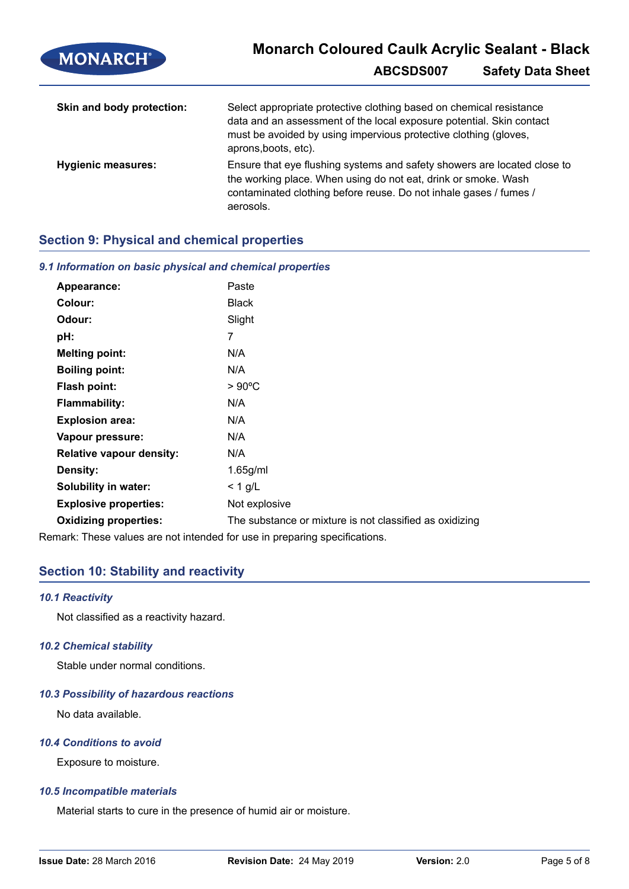| <b>MONARCH®</b>           | <b>Monarch Coloured Caulk Acrylic Sealant - Black</b>                                                                                                                                                                                   |                          |
|---------------------------|-----------------------------------------------------------------------------------------------------------------------------------------------------------------------------------------------------------------------------------------|--------------------------|
|                           | ABCSDS007                                                                                                                                                                                                                               | <b>Safety Data Sheet</b> |
| Skin and body protection: | Select appropriate protective clothing based on chemical resistance<br>data and an assessment of the local exposure potential. Skin contact<br>must be avoided by using impervious protective clothing (gloves,<br>aprons, boots, etc). |                          |
| <b>Hygienic measures:</b> | Ensure that eye flushing systems and safety showers are located close to<br>the working place. When using do not eat, drink or smoke. Wash<br>contaminated clothing before reuse. Do not inhale gases / fumes /<br>aerosols.            |                          |

# **Section 9: Physical and chemical properties**

# *9.1 Information on basic physical and chemical properties*

| Appearance:                     | Paste                                                   |
|---------------------------------|---------------------------------------------------------|
| Colour:                         | <b>Black</b>                                            |
| Odour:                          | Slight                                                  |
| pH:                             | 7                                                       |
| <b>Melting point:</b>           | N/A                                                     |
| <b>Boiling point:</b>           | N/A                                                     |
| <b>Flash point:</b>             | $>90^{\circ}$ C                                         |
| <b>Flammability:</b>            | N/A                                                     |
| <b>Explosion area:</b>          | N/A                                                     |
| Vapour pressure:                | N/A                                                     |
| <b>Relative vapour density:</b> | N/A                                                     |
| Density:                        | $1.65$ g/ml                                             |
| <b>Solubility in water:</b>     | $<$ 1 g/L                                               |
| <b>Explosive properties:</b>    | Not explosive                                           |
| <b>Oxidizing properties:</b>    | The substance or mixture is not classified as oxidizing |
|                                 |                                                         |

Remark: These values are not intended for use in preparing specifications.

# **Section 10: Stability and reactivity**

## *10.1 Reactivity*

Not classified as a reactivity hazard.

## *10.2 Chemical stability*

Stable under normal conditions.

## *10.3 Possibility of hazardous reactions*

No data available.

## *10.4 Conditions to avoid*

Exposure to moisture.

## *10.5 Incompatible materials*

Material starts to cure in the presence of humid air or moisture.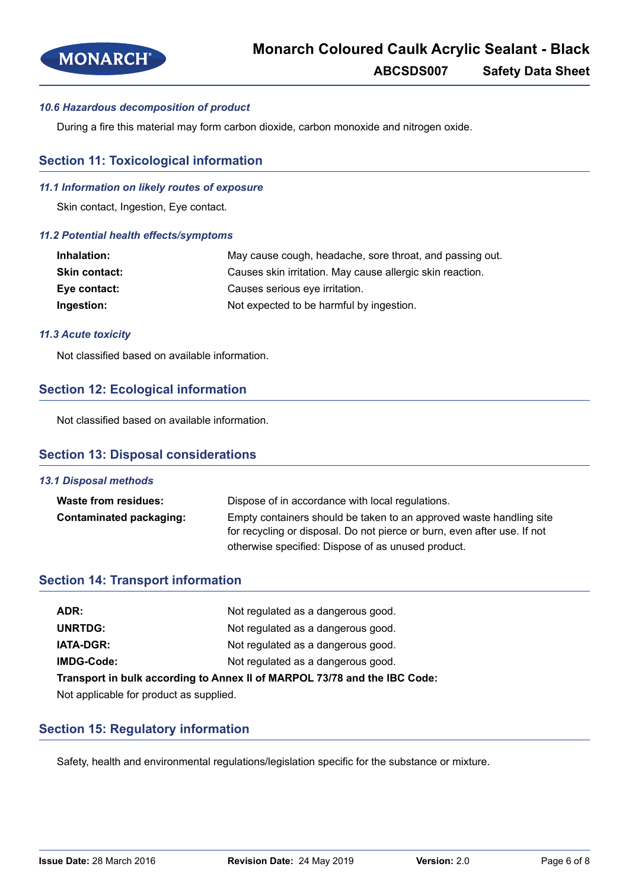

# *10.6 Hazardous decomposition of product*

During a fire this material may form carbon dioxide, carbon monoxide and nitrogen oxide.

# **Section 11: Toxicological information**

#### *11.1 Information on likely routes of exposure*

Skin contact, Ingestion, Eye contact.

#### *11.2 Potential health effects/symptoms*

| Inhalation:          | May cause cough, headache, sore throat, and passing out.  |
|----------------------|-----------------------------------------------------------|
| <b>Skin contact:</b> | Causes skin irritation. May cause allergic skin reaction. |
| Eye contact:         | Causes serious eye irritation.                            |
| Ingestion:           | Not expected to be harmful by ingestion.                  |

#### *11.3 Acute toxicity*

Not classified based on available information.

# **Section 12: Ecological information**

Not classified based on available information.

# **Section 13: Disposal considerations**

# *13.1 Disposal methods* **Waste from residues:** Dispose of in accordance with local regulations. **Contaminated packaging:** Empty containers should be taken to an approved waste handling site for recycling or disposal. Do not pierce or burn, even after use. If not otherwise specified: Dispose of as unused product.

# **Section 14: Transport information**

| ADR:                                                                      | Not regulated as a dangerous good. |  |
|---------------------------------------------------------------------------|------------------------------------|--|
| <b>UNRTDG:</b>                                                            | Not regulated as a dangerous good. |  |
| <b>IATA-DGR:</b>                                                          | Not regulated as a dangerous good. |  |
| IMDG-Code:                                                                | Not regulated as a dangerous good. |  |
| Transport in bulk according to Annex II of MARPOL 73/78 and the IBC Code: |                                    |  |

Not applicable for product as supplied.

# **Section 15: Regulatory information**

Safety, health and environmental regulations/legislation specific for the substance or mixture.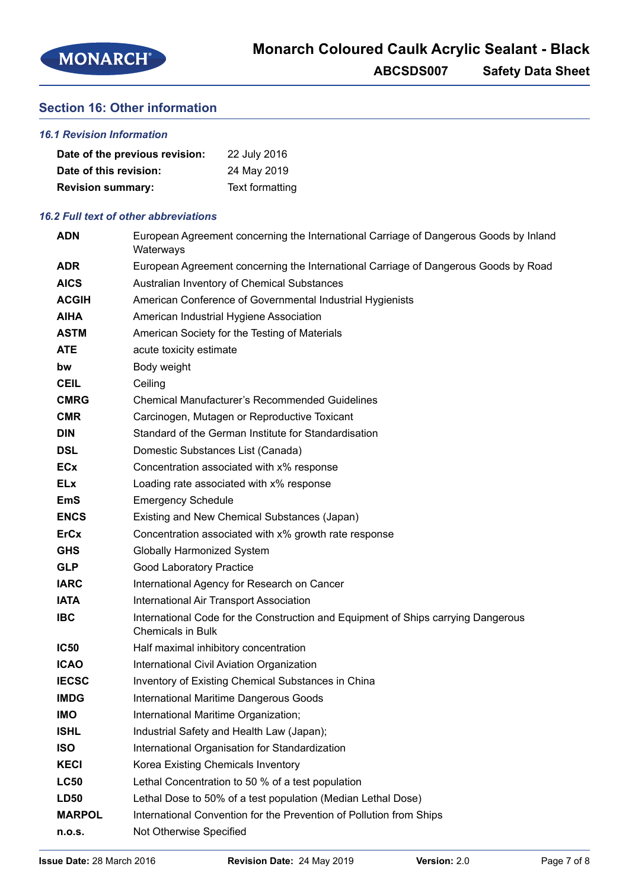# **Section 16: Other information**

# *16.1 Revision Information*

| Date of the previous revision: | 22 July 2016    |
|--------------------------------|-----------------|
| Date of this revision:         | 24 May 2019     |
| <b>Revision summary:</b>       | Text formatting |

# *16.2 Full text of other abbreviations*

| <b>ADN</b>    | European Agreement concerning the International Carriage of Dangerous Goods by Inland<br>Waterways            |
|---------------|---------------------------------------------------------------------------------------------------------------|
| <b>ADR</b>    | European Agreement concerning the International Carriage of Dangerous Goods by Road                           |
| <b>AICS</b>   | Australian Inventory of Chemical Substances                                                                   |
| <b>ACGIH</b>  | American Conference of Governmental Industrial Hygienists                                                     |
| <b>AIHA</b>   | American Industrial Hygiene Association                                                                       |
| <b>ASTM</b>   | American Society for the Testing of Materials                                                                 |
| <b>ATE</b>    | acute toxicity estimate                                                                                       |
| bw            | Body weight                                                                                                   |
| <b>CEIL</b>   | Ceiling                                                                                                       |
| <b>CMRG</b>   | <b>Chemical Manufacturer's Recommended Guidelines</b>                                                         |
| <b>CMR</b>    | Carcinogen, Mutagen or Reproductive Toxicant                                                                  |
| <b>DIN</b>    | Standard of the German Institute for Standardisation                                                          |
| <b>DSL</b>    | Domestic Substances List (Canada)                                                                             |
| <b>ECx</b>    | Concentration associated with x% response                                                                     |
| <b>ELx</b>    | Loading rate associated with x% response                                                                      |
| <b>EmS</b>    | <b>Emergency Schedule</b>                                                                                     |
| <b>ENCS</b>   | Existing and New Chemical Substances (Japan)                                                                  |
| <b>ErCx</b>   | Concentration associated with x% growth rate response                                                         |
| <b>GHS</b>    | Globally Harmonized System                                                                                    |
| <b>GLP</b>    | <b>Good Laboratory Practice</b>                                                                               |
| <b>IARC</b>   | International Agency for Research on Cancer                                                                   |
| <b>IATA</b>   | International Air Transport Association                                                                       |
| <b>IBC</b>    | International Code for the Construction and Equipment of Ships carrying Dangerous<br><b>Chemicals in Bulk</b> |
| <b>IC50</b>   | Half maximal inhibitory concentration                                                                         |
| <b>ICAO</b>   | International Civil Aviation Organization                                                                     |
| <b>IECSC</b>  | Inventory of Existing Chemical Substances in China                                                            |
| <b>IMDG</b>   | International Maritime Dangerous Goods                                                                        |
| <b>IMO</b>    | International Maritime Organization;                                                                          |
| <b>ISHL</b>   | Industrial Safety and Health Law (Japan);                                                                     |
| <b>ISO</b>    | International Organisation for Standardization                                                                |
| <b>KECI</b>   | Korea Existing Chemicals Inventory                                                                            |
| <b>LC50</b>   | Lethal Concentration to 50 % of a test population                                                             |
| <b>LD50</b>   | Lethal Dose to 50% of a test population (Median Lethal Dose)                                                  |
| <b>MARPOL</b> | International Convention for the Prevention of Pollution from Ships                                           |
| n.o.s.        | Not Otherwise Specified                                                                                       |